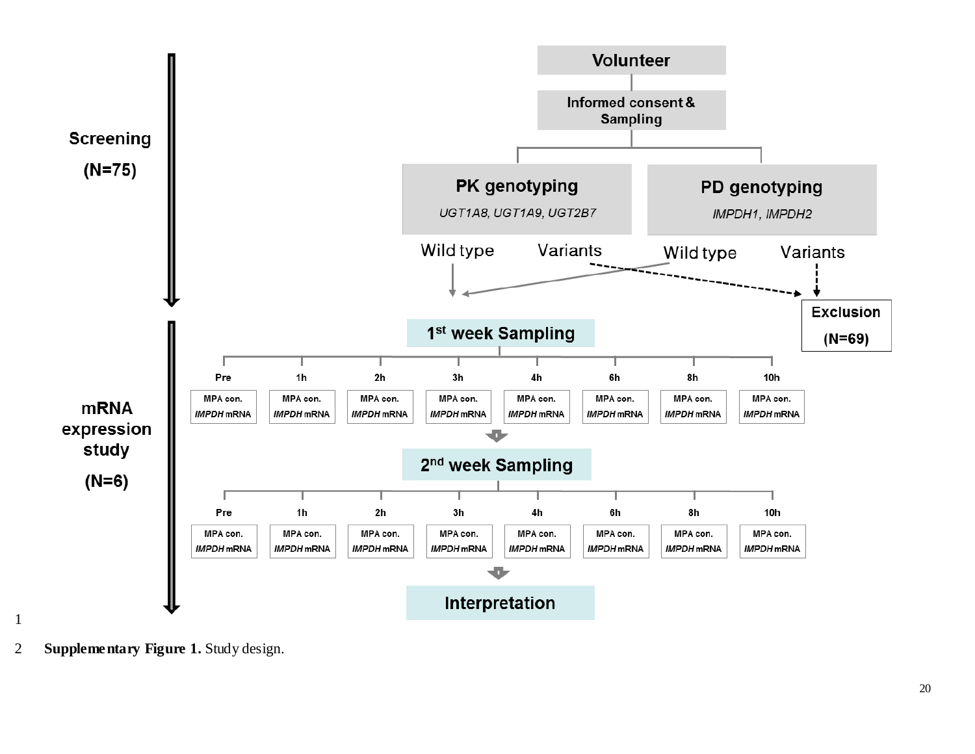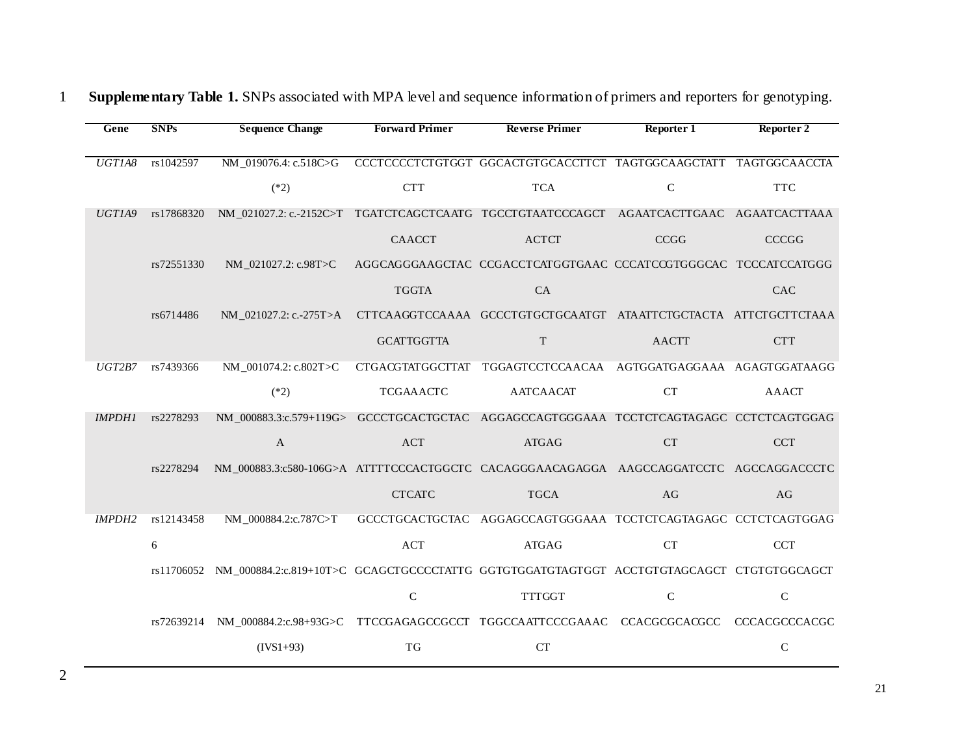|  | Gene          | <b>SNPs</b> | <b>Sequence Change</b>                                                                              | <b>Forward Primer</b> | <b>Reverse Primer</b>                                            | Reporter 1         | Reporter 2   |
|--|---------------|-------------|-----------------------------------------------------------------------------------------------------|-----------------------|------------------------------------------------------------------|--------------------|--------------|
|  |               |             |                                                                                                     |                       |                                                                  |                    |              |
|  | UGTIA8        | rs1042597   | NM_019076.4: c.518C>G                                                                               |                       | CCCTCCCCTCTGTGGT GGCACTGTGCACCTTCT TAGTGGCAAGCTATT TAGTGGCAACCTA |                    |              |
|  |               |             | $(*2)$                                                                                              | <b>CTT</b>            | <b>TCA</b>                                                       | $\mathbf C$        | <b>TTC</b>   |
|  | UGTIA9        | rs17868320  | NM_021027.2: c.-2152C>T TGATCTCAGCTCAATG TGCCTGTAATCCCAGCT AGAATCACTTGAAC AGAATCACTTAAA             |                       |                                                                  |                    |              |
|  |               |             |                                                                                                     | <b>CAACCT</b>         | <b>ACTCT</b>                                                     | CCGG               | <b>CCCGG</b> |
|  |               | rs72551330  | NM 021027.2: c.98T>C                                                                                |                       | AGGCAGGGAAGCTAC CCGACCTCATGGTGAAC CCCATCCGTGGGCAC TCCCATCCATGGG  |                    |              |
|  |               |             |                                                                                                     | <b>TGGTA</b>          | CA                                                               |                    | CAC          |
|  |               | rs6714486   | NM_021027.2: c.-275T>A                                                                              |                       | CTTCAAGGTCCAAAA GCCCTGTGCTGCAATGT ATAATTCTGCTACTA ATTCTGCTTCTAAA |                    |              |
|  |               |             |                                                                                                     | <b>GCATTGGTTA</b>     | $\mathbf T$                                                      | <b>AACTT</b>       | <b>CTT</b>   |
|  | UGT2B7        | rs7439366   | NM_001074.2: c.802T>C                                                                               |                       | CTGACGTATGGCTTAT TGGAGTCCTCCAACAA AGTGGATGAGGAAA AGAGTGGATAAGG   |                    |              |
|  |               |             | $(*2)$                                                                                              | <b>TCGAAACTC</b>      | <b>AATCAACAT</b>                                                 | <b>CT</b>          | <b>AAACT</b> |
|  | <b>IMPDH1</b> | rs2278293   | NM_000883.3:c.579+119G> GCCCTGCACTGCTAC AGGAGCCAGTGGGAAA TCCTCTCAGTAGAGC CCTCTCAGTGGAG              |                       |                                                                  |                    |              |
|  |               |             | $\mathbf{A}$                                                                                        | <b>ACT</b>            | <b>ATGAG</b>                                                     | <b>CT</b>          | <b>CCT</b>   |
|  |               | rs2278294   | NM_000883.3:c580-106G>A ATTTTCCCACTGGCTC CACAGGGAACAGAGGA AAGCCAGGATCCTC AGCCAGGACCCTC              |                       |                                                                  |                    |              |
|  |               |             |                                                                                                     | <b>CTCATC</b>         | <b>TGCA</b>                                                      | AG                 | AG           |
|  | <b>IMPDH2</b> | rs12143458  | NM_000884.2:c.787C>T                                                                                |                       | GCCCTGCACTGCTAC AGGAGCCAGTGGGAAA TCCTCTCAGTAGAGC CCTCTCAGTGGAG   |                    |              |
|  |               | 6           |                                                                                                     | <b>ACT</b>            | <b>ATGAG</b>                                                     | ${\cal C}{\cal T}$ | <b>CCT</b>   |
|  |               |             | rs11706052 NM_000884.2:c.819+10T>C GCAGCTGCCCCTATTG GGTGTGGATGTAGTGGT ACCTGTGTAGCAGCT CTGTGTGGCAGCT |                       |                                                                  |                    |              |
|  |               |             |                                                                                                     | $\mathbf C$           | <b>TTTGGT</b>                                                    | $\mathsf C$        | $\mathbf C$  |
|  |               | rs72639214  | NM_000884.2:c.98+93G>C TTCCGAGAGCCGCCT TGGCCAATTCCCGAAAC CCACGCGCACGCC CCCACGCCCACGC                |                       |                                                                  |                    |              |
|  |               |             | $(IVS1+93)$                                                                                         | <b>TG</b>             | <b>CT</b>                                                        |                    | $\mathsf{C}$ |
|  |               |             |                                                                                                     |                       |                                                                  |                    |              |

## 1 **Supplementary Table 1.** SNPs associated with MPA level and sequence information of primers and reporters for genotyping.